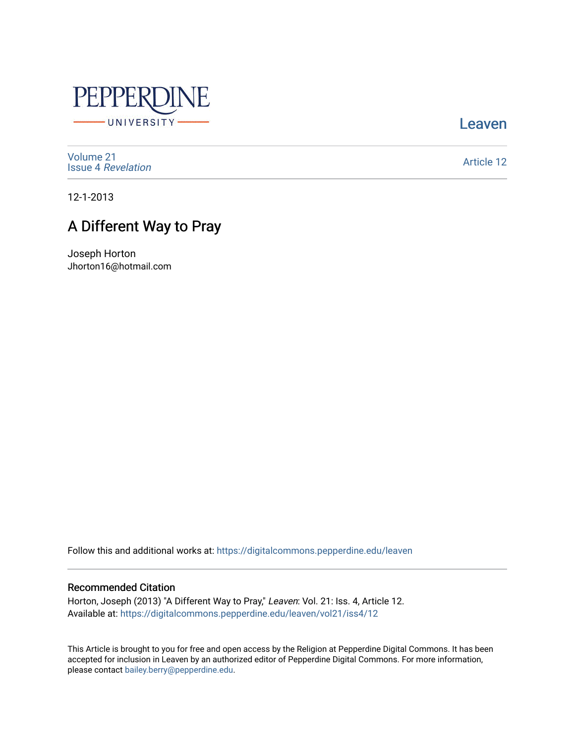

[Leaven](https://digitalcommons.pepperdine.edu/leaven) 

[Volume 21](https://digitalcommons.pepperdine.edu/leaven/vol21) Issue 4 [Revelation](https://digitalcommons.pepperdine.edu/leaven/vol21/iss4) 

[Article 12](https://digitalcommons.pepperdine.edu/leaven/vol21/iss4/12) 

12-1-2013

## A Different Way to Pray

Joseph Horton Jhorton16@hotmail.com

Follow this and additional works at: [https://digitalcommons.pepperdine.edu/leaven](https://digitalcommons.pepperdine.edu/leaven?utm_source=digitalcommons.pepperdine.edu%2Fleaven%2Fvol21%2Fiss4%2F12&utm_medium=PDF&utm_campaign=PDFCoverPages)

#### Recommended Citation

Horton, Joseph (2013) "A Different Way to Pray," Leaven: Vol. 21: Iss. 4, Article 12. Available at: [https://digitalcommons.pepperdine.edu/leaven/vol21/iss4/12](https://digitalcommons.pepperdine.edu/leaven/vol21/iss4/12?utm_source=digitalcommons.pepperdine.edu%2Fleaven%2Fvol21%2Fiss4%2F12&utm_medium=PDF&utm_campaign=PDFCoverPages) 

This Article is brought to you for free and open access by the Religion at Pepperdine Digital Commons. It has been accepted for inclusion in Leaven by an authorized editor of Pepperdine Digital Commons. For more information, please contact [bailey.berry@pepperdine.edu](mailto:bailey.berry@pepperdine.edu).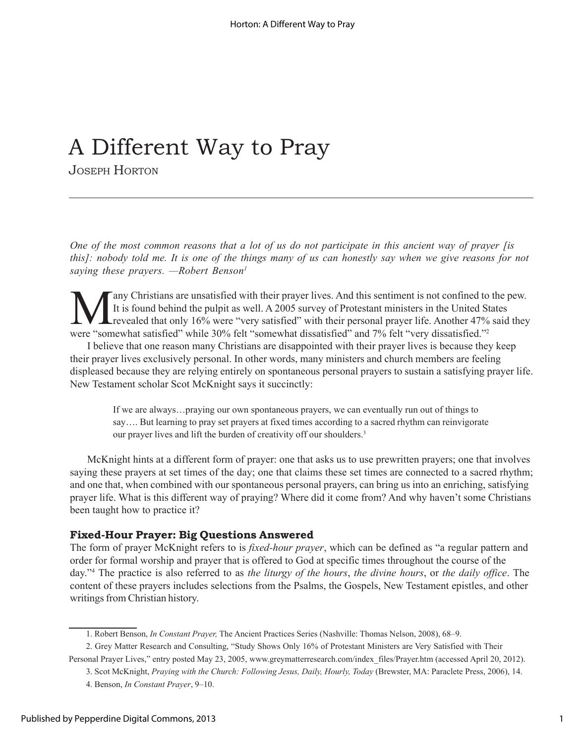# A Different Way to Pray

JOSEPH HORTON

*One of the most common reasons that a lot of us do not participate in this ancient way of prayer [is this]: nobody told me. It is one of the things many of us can honestly say when we give reasons for not saying these prayers.* –Robert Benson<sup>1</sup>

Many Christians are unsatisfied with their prayer lives. And this sentiment is not confined to the pew.<br>It is found behind the pulpit as well. A 2005 survey of Protestant ministers in the United States<br>revealed that only 1 It is found behind the pulpit as well. A 2005 survey of Protestant ministers in the United States Lrevealed that only 16% were "very satisfied" with their personal prayer life. Another 47% said they were "somewhat satisfied" while 30% felt "somewhat dissatisfied" and 7% felt "very dissatisfied."<sup>2</sup>

I believe that one reason many Christians are disappointed with their prayer lives is because they keep their prayer lives exclusively personal. In other words, many ministers and church members are feeling displeased because they are relying entirely on spontaneous personal prayers to sustain a satisfying prayer life. New Testament scholar Scot McKnight says it succinctly:

If we are always...praying our own spontaneous prayers, we can eventually run out of things to say.... But learning to pray set prayers at fixed times according to a sacred rhythm can reinvigorate our prayer lives and lift the burden of creativity off our shoulders.<sup>3</sup>

McKnight hints at a different form of prayer: one that asks us to use prewritten prayers; one that involves saying these prayers at set times of the day; one that claims these set times are connected to a sacred rhythm; and one that, when combined with our spontaneous personal prayers, can bring us into an enriching, satisfying prayer life. What is this different way of praying? Where did it come from? And why haven't some Christians been taught how to practice it?

### **Fixed-Hour Prayer: Big Questions Answered**

The form of prayer McKnight refers to is *fixed-hour prayer*, which can be defined as "a regular pattern and order for formal worship and prayer that is offered to God at specific times throughout the course of the day.î4 The practice is also referred to as *the liturgy of the hours*, *the divine hours*, or *the daily office*. The content of these prayers includes selections from the Psalms, the Gospels, New Testament epistles, and other writings from Christian history.

<sup>1.</sup> Robert Benson, *In Constant Prayer*, The Ancient Practices Series (Nashville: Thomas Nelson, 2008), 68–9.

<sup>2.</sup> Grey Matter Research and Consulting, "Study Shows Only 16% of Protestant Ministers are Very Satisfied with Their

Personal Prayer Lives," entry posted May 23, 2005, www.greymatterresearch.com/index files/Prayer.htm (accessed April 20, 2012).

<sup>3.</sup> Scot McKnight, *Praying with the Church: Following Jesus, Daily, Hourly, Today* (Brewster, MA: Paraclete Press, 2006), 14.

<sup>4.</sup> Benson, *In Constant Prayer*, 9-10.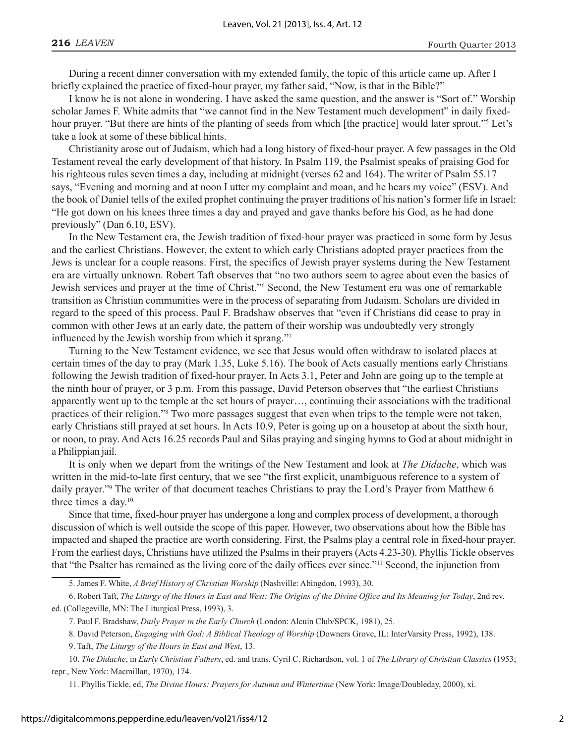During a recent dinner conversation with my extended family, the topic of this article came up. After I briefly explained the practice of fixed-hour prayer, my father said, "Now, is that in the Bible?"

I know he is not alone in wondering. I have asked the same question, and the answer is "Sort of." Worship scholar James F. White admits that "we cannot find in the New Testament much development" in daily fixedhour prayer. "But there are hints of the planting of seeds from which [the practice] would later sprout."<sup>5</sup> Let's take a look at some of these biblical hints.

Christianity arose out of Judaism, which had a long history of fixed-hour prayer. A few passages in the Old Testament reveal the early development of that history. In Psalm 119, the Psalmist speaks of praising God for his righteous rules seven times a day, including at midnight (verses 62 and 164). The writer of Psalm 55.17 says, "Evening and morning and at noon I utter my complaint and moan, and he hears my voice" (ESV). And the book of Daniel tells of the exiled prophet continuing the prayer traditions of his nation's former life in Israel: ìHe got down on his knees three times a day and prayed and gave thanks before his God, as he had done previously" (Dan  $6.10$ , ESV).

In the New Testament era, the Jewish tradition of fixed-hour prayer was practiced in some form by Jesus and the earliest Christians. However, the extent to which early Christians adopted prayer practices from the Jews is unclear for a couple reasons. First, the specifics of Jewish prayer systems during the New Testament era are virtually unknown. Robert Taft observes that "no two authors seem to agree about even the basics of Jewish services and prayer at the time of Christ."<sup>6</sup> Second, the New Testament era was one of remarkable transition as Christian communities were in the process of separating from Judaism. Scholars are divided in regard to the speed of this process. Paul F. Bradshaw observes that "even if Christians did cease to pray in common with other Jews at an early date, the pattern of their worship was undoubtedly very strongly influenced by the Jewish worship from which it sprang. $\frac{1}{7}$ 

Turning to the New Testament evidence, we see that Jesus would often withdraw to isolated places at certain times of the day to pray (Mark 1.35, Luke 5.16). The book of Acts casually mentions early Christians following the Jewish tradition of fixed-hour prayer. In Acts 3.1, Peter and John are going up to the temple at the ninth hour of prayer, or 3 p.m. From this passage, David Peterson observes that "the earliest Christians" apparently went up to the temple at the set hours of prayer..., continuing their associations with the traditional practices of their religion."<sup>8</sup> Two more passages suggest that even when trips to the temple were not taken, early Christians still prayed at set hours. In Acts 10.9, Peter is going up on a housetop at about the sixth hour, or noon, to pray. And Acts 16.25 records Paul and Silas praying and singing hymns to God at about midnight in a Philippian jail.

It is only when we depart from the writings of the New Testament and look at *The Didache*, which was written in the mid-to-late first century, that we see "the first explicit, unambiguous reference to a system of daily prayer."<sup>9</sup> The writer of that document teaches Christians to pray the Lord's Prayer from Matthew 6 three times a day.10

Since that time, fixed-hour prayer has undergone a long and complex process of development, a thorough discussion of which is well outside the scope of this paper. However, two observations about how the Bible has impacted and shaped the practice are worth considering. First, the Psalms play a central role in fixed-hour prayer. From the earliest days, Christians have utilized the Psalms in their prayers (Acts 4.23-30). Phyllis Tickle observes that "the Psalter has remained as the living core of the daily offices ever since."<sup>11</sup> Second, the injunction from

6. Robert Taft, *The Liturgy of the Hours in East and West: The Origins of the Divine Office and Its Meaning for Today*, 2nd rev. ed. (Collegeville, MN: The Liturgical Press, 1993), 3.

10. *The Didache*, in *Early Christian Fathers*, ed. and trans. Cyril C. Richardson, vol. 1 of *The Library of Christian Classics* (1953; repr., New York: Macmillan, 1970), 174.

11. Phyllis Tickle, ed, *The Divine Hours: Prayers for Autumn and Wintertime* (New York: Image/Doubleday, 2000), xi.

<sup>5.</sup> James F. White, *A Brief History of Christian Worship* (Nashville: Abingdon, 1993), 30.

<sup>7.</sup> Paul F. Bradshaw, *Daily Prayer in the Early Church* (London: Alcuin Club/SPCK, 1981), 25.

<sup>8.</sup> David Peterson, *Engaging with God: A Biblical Theology of Worship* (Downers Grove, IL: InterVarsity Press, 1992), 138.

<sup>9.</sup> Taft, *The Liturgy of the Hours in East and West*, 13.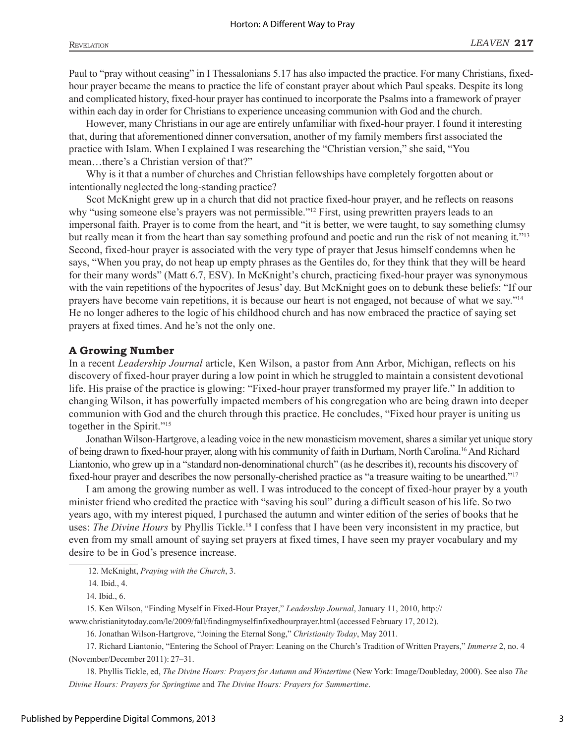Paul to "pray without ceasing" in I Thessalonians 5.17 has also impacted the practice. For many Christians, fixedhour prayer became the means to practice the life of constant prayer about which Paul speaks. Despite its long and complicated history, fixed-hour prayer has continued to incorporate the Psalms into a framework of prayer within each day in order for Christians to experience unceasing communion with God and the church.

However, many Christians in our age are entirely unfamiliar with fixed-hour prayer. I found it interesting that, during that aforementioned dinner conversation, another of my family members first associated the practice with Islam. When I explained I was researching the "Christian version," she said, "You mean...there's a Christian version of that?"

Why is it that a number of churches and Christian fellowships have completely forgotten about or intentionally neglected the long-standing practice?

Scot McKnight grew up in a church that did not practice fixed-hour prayer, and he reflects on reasons why "using someone else's prayers was not permissible.<sup>"12</sup> First, using prewritten prayers leads to an impersonal faith. Prayer is to come from the heart, and "it is better, we were taught, to say something clumsy but really mean it from the heart than say something profound and poetic and run the risk of not meaning it.<sup>713</sup> Second, fixed-hour prayer is associated with the very type of prayer that Jesus himself condemns when he says, "When you pray, do not heap up empty phrases as the Gentiles do, for they think that they will be heard for their many words" (Matt 6.7, ESV). In McKnight's church, practicing fixed-hour prayer was synonymous with the vain repetitions of the hypocrites of Jesus' day. But McKnight goes on to debunk these beliefs: "If our prayers have become vain repetitions, it is because our heart is not engaged, not because of what we say.<sup>714</sup> He no longer adheres to the logic of his childhood church and has now embraced the practice of saying set prayers at fixed times. And he's not the only one.

#### **A Growing Number**

In a recent *Leadership Journal* article, Ken Wilson, a pastor from Ann Arbor, Michigan, reflects on his discovery of fixed-hour prayer during a low point in which he struggled to maintain a consistent devotional life. His praise of the practice is glowing: "Fixed-hour prayer transformed my prayer life." In addition to changing Wilson, it has powerfully impacted members of his congregation who are being drawn into deeper communion with God and the church through this practice. He concludes, "Fixed hour prayer is uniting us together in the Spirit."<sup>15</sup>

Jonathan Wilson-Hartgrove, a leading voice in the new monasticism movement, shares a similar yet unique story of being drawn to fixed-hour prayer, along with his community of faith in Durham, North Carolina.16 And Richard Liantonio, who grew up in a "standard non-denominational church" (as he describes it), recounts his discovery of fixed-hour prayer and describes the now personally-cherished practice as "a treasure waiting to be unearthed.<sup>??!7</sup>

I am among the growing number as well. I was introduced to the concept of fixed-hour prayer by a youth minister friend who credited the practice with "saving his soul" during a difficult season of his life. So two years ago, with my interest piqued, I purchased the autumn and winter edition of the series of books that he uses: *The Divine Hours* by Phyllis Tickle.<sup>18</sup> I confess that I have been very inconsistent in my practice, but even from my small amount of saying set prayers at fixed times, I have seen my prayer vocabulary and my desire to be in God's presence increase.

14. Ibid., 6.

15. Ken Wilson, "Finding Myself in Fixed-Hour Prayer," *Leadership Journal*, January 11, 2010, http://

www.christianitytoday.com/le/2009/fall/findingmyselfinfixedhourprayer.html (accessed February 17, 2012).

16. Jonathan Wilson-Hartgrove, "Joining the Eternal Song," *Christianity Today*, May 2011.

17. Richard Liantonio, "Entering the School of Prayer: Leaning on the Church's Tradition of Written Prayers," *Immerse* 2, no. 4 (November/December 2011): 27–31.

18. Phyllis Tickle, ed, *The Divine Hours: Prayers for Autumn and Wintertime* (New York: Image/Doubleday, 2000). See also *The Divine Hours: Prayers for Springtime* and *The Divine Hours: Prayers for Summertime*.

 <sup>12.</sup> McKnight, *Praying with the Church*, 3.

 <sup>14.</sup> Ibid., 4.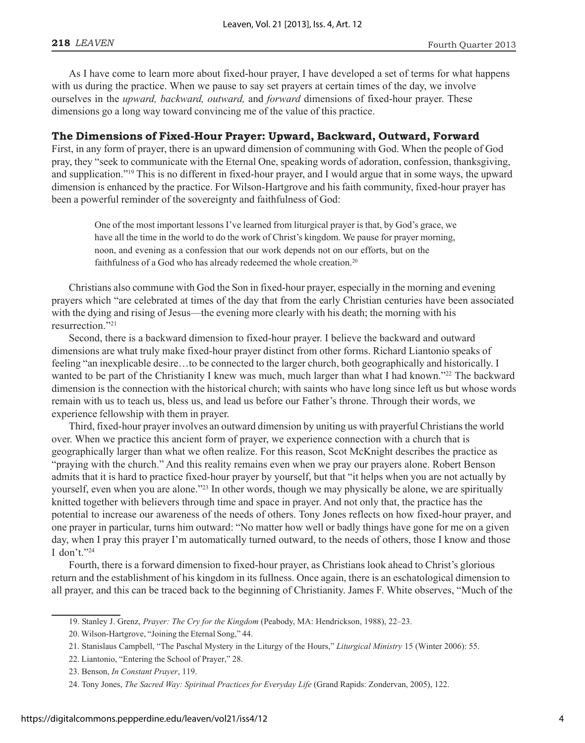As I have come to learn more about fixed-hour prayer, I have developed a set of terms for what happens with us during the practice. When we pause to say set prayers at certain times of the day, we involve ourselves in the *upward, backward, outward,* and *forward* dimensions of fixed-hour prayer. These dimensions go a long way toward convincing me of the value of this practice.

#### **The Dimensions of Fixed-Hour Prayer: Upward, Backward, Outward, Forward**

First, in any form of prayer, there is an upward dimension of communing with God. When the people of God pray, they "seek to communicate with the Eternal One, speaking words of adoration, confession, thanksgiving, and supplication.<sup>719</sup> This is no different in fixed-hour prayer, and I would argue that in some ways, the upward dimension is enhanced by the practice. For Wilson-Hartgrove and his faith community, fixed-hour prayer has been a powerful reminder of the sovereignty and faithfulness of God:

One of the most important lessons I've learned from liturgical prayer is that, by God's grace, we have all the time in the world to do the work of Christ's kingdom. We pause for prayer morning, noon, and evening as a confession that our work depends not on our efforts, but on the faithfulness of a God who has already redeemed the whole creation.<sup>20</sup>

Christians also commune with God the Son in fixed-hour prayer, especially in the morning and evening prayers which "are celebrated at times of the day that from the early Christian centuries have been associated with the dying and rising of Jesus—the evening more clearly with his death; the morning with his resurrection."21

Second, there is a backward dimension to fixed-hour prayer. I believe the backward and outward dimensions are what truly make fixed-hour prayer distinct from other forms. Richard Liantonio speaks of feeling "an inexplicable desire...to be connected to the larger church, both geographically and historically. I wanted to be part of the Christianity I knew was much, much larger than what I had known.<sup>722</sup> The backward dimension is the connection with the historical church; with saints who have long since left us but whose words remain with us to teach us, bless us, and lead us before our Father's throne. Through their words, we experience fellowship with them in prayer.

Third, fixed-hour prayer involves an outward dimension by uniting us with prayerful Christians the world over. When we practice this ancient form of prayer, we experience connection with a church that is geographically larger than what we often realize. For this reason, Scot McKnight describes the practice as ìpraying with the church.î And this reality remains even when we pray our prayers alone. Robert Benson admits that it is hard to practice fixed-hour prayer by yourself, but that "it helps when you are not actually by yourself, even when you are alone.<sup>723</sup> In other words, though we may physically be alone, we are spiritually knitted together with believers through time and space in prayer. And not only that, the practice has the potential to increase our awareness of the needs of others. Tony Jones reflects on how fixed-hour prayer, and one prayer in particular, turns him outward: "No matter how well or badly things have gone for me on a given day, when I pray this prayer I'm automatically turned outward, to the needs of others, those I know and those I don't. $"24$ 

Fourth, there is a forward dimension to fixed-hour prayer, as Christians look ahead to Christ's glorious return and the establishment of his kingdom in its fullness. Once again, there is an eschatological dimension to all prayer, and this can be traced back to the beginning of Christianity. James F. White observes, "Much of the

<sup>19.</sup> Stanley J. Grenz, Prayer: The Cry for the Kingdom (Peabody, MA: Hendrickson, 1988), 22-23.

<sup>20.</sup> Wilson-Hartgrove, "Joining the Eternal Song," 44.

<sup>21.</sup> Stanislaus Campbell, "The Paschal Mystery in the Liturgy of the Hours," *Liturgical Ministry* 15 (Winter 2006): 55.

<sup>22.</sup> Liantonio, "Entering the School of Prayer," 28.

<sup>23.</sup> Benson, *In Constant Prayer*, 119.

<sup>24.</sup> Tony Jones, *The Sacred Way: Spiritual Practices for Everyday Life* (Grand Rapids: Zondervan, 2005), 122.